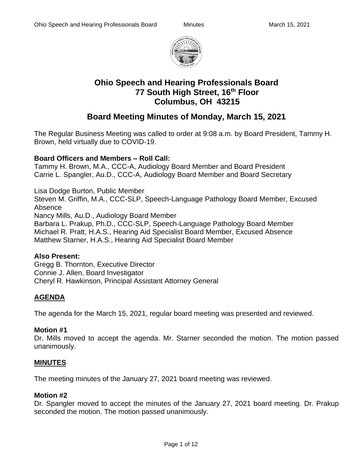

# **Ohio Speech and Hearing Professionals Board 77 South High Street, 16th Floor Columbus, OH 43215**

# **Board Meeting Minutes of Monday, March 15, 2021**

The Regular Business Meeting was called to order at 9:08 a.m. by Board President, Tammy H. Brown, held virtually due to COVID-19.

## **Board Officers and Members – Roll Call:**

Tammy H. Brown, M.A., CCC-A, Audiology Board Member and Board President Carrie L. Spangler, Au.D., CCC-A, Audiology Board Member and Board Secretary

Lisa Dodge Burton, Public Member Steven M. Griffin, M.A., CCC-SLP, Speech-Language Pathology Board Member, Excused Absence Nancy Mills, Au.D., Audiology Board Member Barbara L. Prakup, Ph.D., CCC-SLP, Speech-Language Pathology Board Member Michael R. Pratt, H.A.S., Hearing Aid Specialist Board Member, Excused Absence Matthew Starner, H.A.S., Hearing Aid Specialist Board Member

#### **Also Present:**

Gregg B. Thornton, Executive Director Connie J. Allen, Board Investigator Cheryl R. Hawkinson, Principal Assistant Attorney General

## **AGENDA**

The agenda for the March 15, 2021, regular board meeting was presented and reviewed.

## **Motion #1**

Dr. Mills moved to accept the agenda. Mr. Starner seconded the motion. The motion passed unanimously.

## **MINUTES**

The meeting minutes of the January 27, 2021 board meeting was reviewed.

#### **Motion #2**

Dr. Spangler moved to accept the minutes of the January 27, 2021 board meeting. Dr. Prakup seconded the motion. The motion passed unanimously.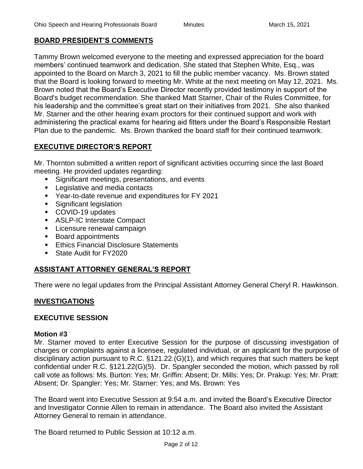## **BOARD PRESIDENT'S COMMENTS**

Tammy Brown welcomed everyone to the meeting and expressed appreciation for the board members' continued teamwork and dedication. She stated that Stephen White, Esq., was appointed to the Board on March 3, 2021 to fill the public member vacancy. Ms. Brown stated that the Board is looking forward to meeting Mr. White at the next meeting on May 12, 2021. Ms. Brown noted that the Board's Executive Director recently provided testimony in support of the Board's budget recommendation. She thanked Matt Starner, Chair of the Rules Committee, for his leadership and the committee's great start on their initiatives from 2021. She also thanked Mr. Starner and the other hearing exam proctors for their continued support and work with administering the practical exams for hearing aid fitters under the Board's Responsible Restart Plan due to the pandemic. Ms. Brown thanked the board staff for their continued teamwork.

## **EXECUTIVE DIRECTOR'S REPORT**

Mr. Thornton submitted a written report of significant activities occurring since the last Board meeting. He provided updates regarding:

- Significant meetings, presentations, and events
- Legislative and media contacts
- Year-to-date revenue and expenditures for FY 2021
- Significant legislation
- COVID-19 updates
- ASLP-IC Interstate Compact
- **E** Licensure renewal campaign
- Board appointments
- Ethics Financial Disclosure Statements
- State Audit for FY2020

## **ASSISTANT ATTORNEY GENERAL'S REPORT**

There were no legal updates from the Principal Assistant Attorney General Cheryl R. Hawkinson.

## **INVESTIGATIONS**

#### **EXECUTIVE SESSION**

#### **Motion #3**

Mr. Starner moved to enter Executive Session for the purpose of discussing investigation of charges or complaints against a licensee, regulated individual, or an applicant for the purpose of disciplinary action pursuant to R.C. §121.22.(G)(1), and which requires that such matters be kept confidential under R.C. §121.22(G)(5). Dr. Spangler seconded the motion, which passed by roll call vote as follows: Ms. Burton: Yes; Mr. Griffin: Absent; Dr. Mills: Yes; Dr. Prakup: Yes; Mr. Pratt: Absent; Dr. Spangler: Yes; Mr. Starner: Yes; and Ms. Brown: Yes

The Board went into Executive Session at 9:54 a.m. and invited the Board's Executive Director and Investigator Connie Allen to remain in attendance. The Board also invited the Assistant Attorney General to remain in attendance.

The Board returned to Public Session at 10:12 a.m.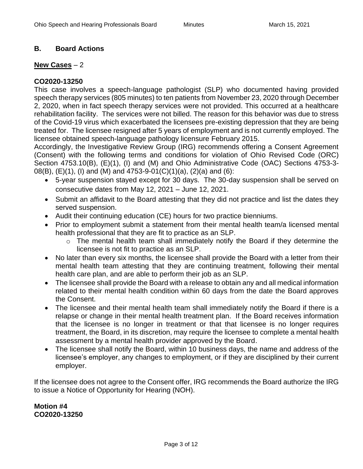## **B. Board Actions**

### **New Cases** – 2

## **CO2020-13250**

This case involves a speech-language pathologist (SLP) who documented having provided speech therapy services (805 minutes) to ten patients from November 23, 2020 through December 2, 2020, when in fact speech therapy services were not provided. This occurred at a healthcare rehabilitation facility. The services were not billed. The reason for this behavior was due to stress of the Covid-19 virus which exacerbated the licensees pre-existing depression that they are being treated for. The licensee resigned after 5 years of employment and is not currently employed. The licensee obtained speech-language pathology licensure February 2015.

Accordingly, the Investigative Review Group (IRG) recommends offering a Consent Agreement (Consent) with the following terms and conditions for violation of Ohio Revised Code (ORC) Section 4753.10(B), (E)(1), (I) and (M) and Ohio Administrative Code (OAC) Sections 4753-3- 08(B), (E)(1), (I) and (M) and 4753-9-01(C)(1)(a), (2)(a) and (6):

- 5-year suspension stayed except for 30 days. The 30-day suspension shall be served on consecutive dates from May 12, 2021 – June 12, 2021.
- Submit an affidavit to the Board attesting that they did not practice and list the dates they served suspension.
- Audit their continuing education (CE) hours for two practice bienniums.
- Prior to employment submit a statement from their mental health team/a licensed mental health professional that they are fit to practice as an SLP.
	- o The mental health team shall immediately notify the Board if they determine the licensee is not fit to practice as an SLP.
- No later than every six months, the licensee shall provide the Board with a letter from their mental health team attesting that they are continuing treatment, following their mental health care plan, and are able to perform their job as an SLP.
- The licensee shall provide the Board with a release to obtain any and all medical information related to their mental health condition within 60 days from the date the Board approves the Consent.
- The licensee and their mental health team shall immediately notify the Board if there is a relapse or change in their mental health treatment plan. If the Board receives information that the licensee is no longer in treatment or that that licensee is no longer requires treatment, the Board, in its discretion, may require the licensee to complete a mental health assessment by a mental health provider approved by the Board.
- The licensee shall notify the Board, within 10 business days, the name and address of the licensee's employer, any changes to employment, or if they are disciplined by their current employer.

If the licensee does not agree to the Consent offer, IRG recommends the Board authorize the IRG to issue a Notice of Opportunity for Hearing (NOH).

**Motion #4 CO2020-13250**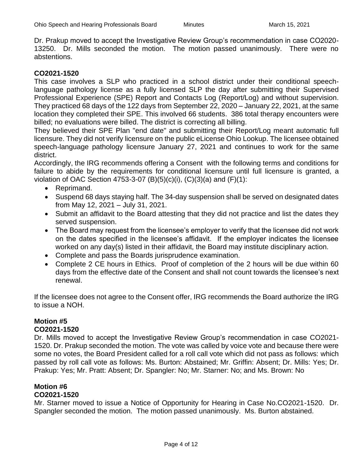Dr. Prakup moved to accept the Investigative Review Group's recommendation in case CO2020- 13250. Dr. Mills seconded the motion. The motion passed unanimously. There were no abstentions.

#### **CO2021-1520**

This case involves a SLP who practiced in a school district under their conditional speechlanguage pathology license as a fully licensed SLP the day after submitting their Supervised Professional Experience (SPE) Report and Contacts Log (Report/Log) and without supervision. They practiced 68 days of the 122 days from September 22, 2020 – January 22, 2021, at the same location they completed their SPE. This involved 66 students. 386 total therapy encounters were billed; no evaluations were billed. The district is correcting all billing.

They believed their SPE Plan "end date" and submitting their Report/Log meant automatic full licensure. They did not verify licensure on the public eLicense Ohio Lookup. The licensee obtained speech-language pathology licensure January 27, 2021 and continues to work for the same district.

Accordingly, the IRG recommends offering a Consent with the following terms and conditions for failure to abide by the requirements for conditional licensure until full licensure is granted, a violation of OAC Section 4753-3-07  $(B)(5)(c)(i)$ ,  $(C)(3)(a)$  and  $(F)(1)$ :

- Reprimand.
- Suspend 68 days staying half. The 34-day suspension shall be served on designated dates from May 12, 2021 – July 31, 2021.
- Submit an affidavit to the Board attesting that they did not practice and list the dates they served suspension.
- The Board may request from the licensee's employer to verify that the licensee did not work on the dates specified in the licensee's affidavit. If the employer indicates the licensee worked on any day(s) listed in their affidavit, the Board may institute disciplinary action.
- Complete and pass the Boards jurisprudence examination.
- Complete 2 CE hours in Ethics. Proof of completion of the 2 hours will be due within 60 days from the effective date of the Consent and shall not count towards the licensee's next renewal.

If the licensee does not agree to the Consent offer, IRG recommends the Board authorize the IRG to issue a NOH.

# **Motion #5**

### **CO2021-1520**

Dr. Mills moved to accept the Investigative Review Group's recommendation in case CO2021- 1520. Dr. Prakup seconded the motion. The vote was called by voice vote and because there were some no votes, the Board President called for a roll call vote which did not pass as follows: which passed by roll call vote as follows: Ms. Burton: Abstained; Mr. Griffin: Absent; Dr. Mills: Yes; Dr. Prakup: Yes; Mr. Pratt: Absent; Dr. Spangler: No; Mr. Starner: No; and Ms. Brown: No

## **Motion #6**

### **CO2021-1520**

Mr. Starner moved to issue a Notice of Opportunity for Hearing in Case No.CO2021-1520. Dr. Spangler seconded the motion. The motion passed unanimously. Ms. Burton abstained.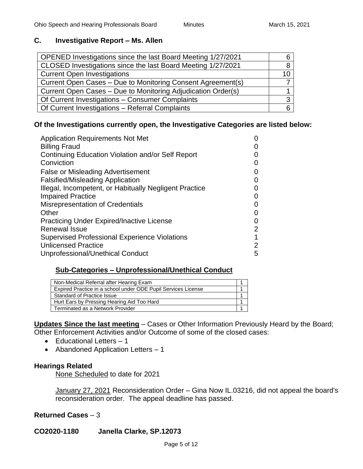## **C. Investigative Report – Ms. Allen**

| 10 |
|----|
|    |
|    |
|    |
|    |
|    |

## **Of the Investigations currently open, the Investigative Categories are listed below:**

| <b>Application Requirements Not Met</b>                |   |
|--------------------------------------------------------|---|
| <b>Billing Fraud</b>                                   |   |
| Continuing Education Violation and/or Self Report      |   |
| Conviction                                             |   |
| <b>False or Misleading Advertisement</b>               |   |
| <b>Falsified/Misleading Application</b>                |   |
| Illegal, Incompetent, or Habitually Negligent Practice |   |
| <b>Impaired Practice</b>                               |   |
| <b>Misrepresentation of Credentials</b>                |   |
| Other                                                  |   |
| <b>Practicing Under Expired/Inactive License</b>       |   |
| <b>Renewal Issue</b>                                   | 2 |
| <b>Supervised Professional Experience Violations</b>   |   |
| <b>Unlicensed Practice</b>                             | 2 |
| Unprofessional/Unethical Conduct                       | 5 |

## **Sub-Categories – Unprofessional/Unethical Conduct**

| Non-Medical Referral after Hearing Exam                       |  |
|---------------------------------------------------------------|--|
| Expired Practice in a school under ODE Pupil Services License |  |
| Standard of Practice Issue                                    |  |
| Hurt Ears by Pressing Hearing Aid Too Hard                    |  |
| Terminated as a Network Provider                              |  |

**Updates Since the last meeting** – Cases or Other Information Previously Heard by the Board; Other Enforcement Activities and/or Outcome of some of the closed cases:

- Educational Letters 1
- Abandoned Application Letters 1

## **Hearings Related**

None Scheduled to date for 2021

January 27, 2021 Reconsideration Order – Gina Now IL.03216, did not appeal the board's reconsideration order. The appeal deadline has passed.

**Returned Cases** – 3

**CO2020-1180 Janella Clarke, SP.12073**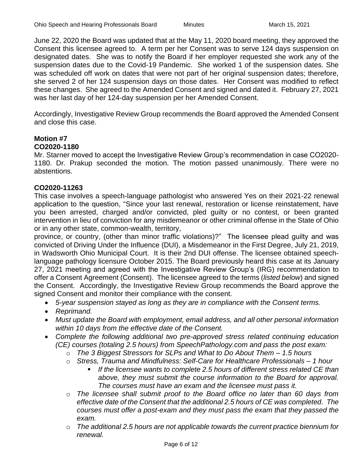June 22, 2020 the Board was updated that at the May 11, 2020 board meeting, they approved the Consent this licensee agreed to. A term per her Consent was to serve 124 days suspension on designated dates. She was to notify the Board if her employer requested she work any of the suspension dates due to the Covid-19 Pandemic. She worked 1 of the suspension dates. She was scheduled off work on dates that were not part of her original suspension dates; therefore, she served 2 of her 124 suspension days on those dates. Her Consent was modified to reflect these changes. She agreed to the Amended Consent and signed and dated it. February 27, 2021 was her last day of her 124-day suspension per her Amended Consent.

Accordingly, Investigative Review Group recommends the Board approved the Amended Consent and close this case.

# **Motion #7**

#### **CO2020-1180**

Mr. Starner moved to accept the Investigative Review Group's recommendation in case CO2020- 1180. Dr. Prakup seconded the motion. The motion passed unanimously. There were no abstentions.

#### **CO2020-11263**

This case involves a speech-language pathologist who answered Yes on their 2021-22 renewal application to the question, "Since your last renewal, restoration or license reinstatement, have you been arrested, charged and/or convicted, pled guilty or no contest, or been granted intervention in lieu of conviction for any misdemeanor or other criminal offense in the State of Ohio or in any other state, common-wealth, territory,

province, or country, (other than minor traffic violations)?" The licensee plead guilty and was convicted of Driving Under the Influence (DUI), a Misdemeanor in the First Degree, July 21, 2019, in Wadsworth Ohio Municipal Court. It is their 2nd DUI offense. The licensee obtained speechlanguage pathology licensure October 2015. The Board previously heard this case at its January 27, 2021 meeting and agreed with the Investigative Review Group's (IRG) recommendation to offer a Consent Agreement (Consent). The licensee agreed to the terms (*listed below*) and signed the Consent. Accordingly, the Investigative Review Group recommends the Board approve the signed Consent and monitor their compliance with the consent.

- *5-year suspension stayed as long as they are in compliance with the Consent terms.*
- *Reprimand.*
- *Must update the Board with employment, email address, and all other personal information within 10 days from the effective date of the Consent.*
- *Complete the following additional two pre-approved stress related continuing education (CE) courses (totaling 2.5 hours) from SpeechPathology.com and pass the post exam:*
	- o *The 3 Biggest Stressors for SLPs and What to Do About Them – 1.5 hours*
	- o *Stress, Trauma and Mindfulness: Self-Care for Healthcare Professionals – 1 hour*
		- If the licensee wants to complete 2.5 hours of different stress related CE than *above, they must submit the course information to the Board for approval. The courses must have an exam and the licensee must pass it.*
	- o *The licensee shall submit proof to the Board office no later than 60 days from effective date of the Consent that the additional 2.5 hours of CE was completed. The courses must offer a post-exam and they must pass the exam that they passed the exam.*
	- o *The additional 2.5 hours are not applicable towards the current practice biennium for renewal.*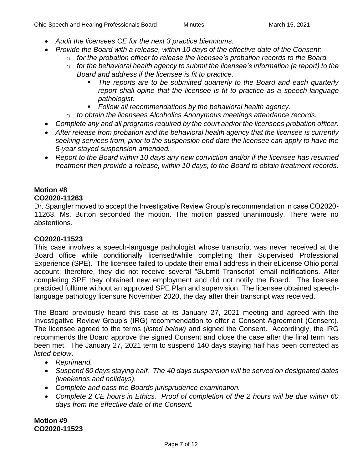- *Audit the licensees CE for the next 3 practice bienniums.*
- *Provide the Board with a release, within 10 days of the effective date of the Consent:*
	- o *for the probation officer to release the licensee's probation records to the Board.*
	- o *for the behavioral health agency to submit the licensee's information (a report) to the Board and address if the licensee is fit to practice.* 
		- The reports are to be submitted quarterly to the Board and each quarterly *report shall opine that the licensee is fit to practice as a speech-language pathologist.*
		- *Follow all recommendations by the behavioral health agency.*
	- o *to obtain the licensees Alcoholics Anonymous meetings attendance records.*
- *Complete any and all programs required by the court and/or the licensees probation officer.*
- *After release from probation and the behavioral health agency that the licensee is currently seeking services from, prior to the suspension end date the licensee can apply to have the 5-year stayed suspension amended.*
- *Report to the Board within 10 days any new conviction and/or if the licensee has resumed treatment then provide a release, within 10 days, to the Board to obtain treatment records.*

# **Motion #8**

#### **CO2020-11263**

Dr. Spangler moved to accept the Investigative Review Group's recommendation in case CO2020- 11263. Ms. Burton seconded the motion. The motion passed unanimously. There were no abstentions.

#### **CO2020-11523**

This case involves a speech-language pathologist whose transcript was never received at the Board office while conditionally licensed/while completing their Supervised Professional Experience (SPE). The licensee failed to update their email address in their eLicense Ohio portal account; therefore, they did not receive several "Submit Transcript" email notifications. After completing SPE they obtained new employment and did not notify the Board. The licensee practiced fulltime without an approved SPE Plan and supervision. The licensee obtained speechlanguage pathology licensure November 2020, the day after their transcript was received.

The Board previously heard this case at its January 27, 2021 meeting and agreed with the Investigative Review Group's (IRG) recommendation to offer a Consent Agreement (Consent). The licensee agreed to the terms (*listed below)* and signed the Consent. Accordingly, the IRG recommends the Board approve the signed Consent and close the case after the final term has been met. The January 27, 2021 term to suspend 140 days staying half has been corrected as *listed below*.

- *Reprimand.*
- *Suspend 80 days staying half. The 40 days suspension will be served on designated dates (weekends and holidays).*
- *Complete and pass the Boards jurisprudence examination.*
- *Complete 2 CE hours in Ethics. Proof of completion of the 2 hours will be due within 60 days from the effective date of the Consent.*

**Motion #9 CO2020-11523**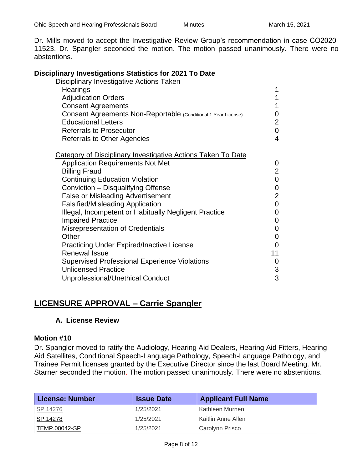Dr. Mills moved to accept the Investigative Review Group's recommendation in case CO2020- 11523. Dr. Spangler seconded the motion. The motion passed unanimously. There were no abstentions.

#### **Disciplinary Investigations Statistics for 2021 To Date**

| <b>Disciplinary Investigative Actions Taken</b>                     |                |
|---------------------------------------------------------------------|----------------|
| Hearings                                                            |                |
| <b>Adjudication Orders</b>                                          | 1              |
| <b>Consent Agreements</b>                                           | 1              |
| Consent Agreements Non-Reportable (Conditional 1 Year License)      | 0              |
| <b>Educational Letters</b>                                          | $\overline{2}$ |
| <b>Referrals to Prosecutor</b>                                      | 0              |
| <b>Referrals to Other Agencies</b>                                  | $\overline{4}$ |
| <b>Category of Disciplinary Investigative Actions Taken To Date</b> |                |
| <b>Application Requirements Not Met</b>                             | 0              |
| <b>Billing Fraud</b>                                                | $\overline{2}$ |
| <b>Continuing Education Violation</b>                               | $\pmb{0}$      |
| Conviction - Disqualifying Offense                                  | $\mathbf 0$    |
| <b>False or Misleading Advertisement</b>                            | $\overline{2}$ |
| <b>Falsified/Misleading Application</b>                             | $\mathbf 0$    |
| Illegal, Incompetent or Habitually Negligent Practice               | 0              |
| <b>Impaired Practice</b>                                            | 0              |
| <b>Misrepresentation of Credentials</b>                             | 0              |
| Other                                                               | 0              |
| <b>Practicing Under Expired/Inactive License</b>                    | 0              |
| <b>Renewal Issue</b>                                                | 11             |
| <b>Supervised Professional Experience Violations</b>                | 0              |
| <b>Unlicensed Practice</b>                                          | 3              |
| Unprofessional/Unethical Conduct                                    | 3              |

## **LICENSURE APPROVAL – Carrie Spangler**

#### **A. License Review**

#### **Motion #10**

Dr. Spangler moved to ratify the Audiology, Hearing Aid Dealers, Hearing Aid Fitters, Hearing Aid Satellites, Conditional Speech-Language Pathology, Speech-Language Pathology, and Trainee Permit licenses granted by the Executive Director since the last Board Meeting. Mr. Starner seconded the motion. The motion passed unanimously. There were no abstentions.

| <b>License: Number</b> | <b>Issue Date</b> | <b>Applicant Full Name</b> |
|------------------------|-------------------|----------------------------|
| SP.14276               | 1/25/2021         | Kathleen Murnen            |
| SP.14278               | 1/25/2021         | Kaitlin Anne Allen         |
| TEMP.00042-SP          | 1/25/2021         | Carolynn Prisco            |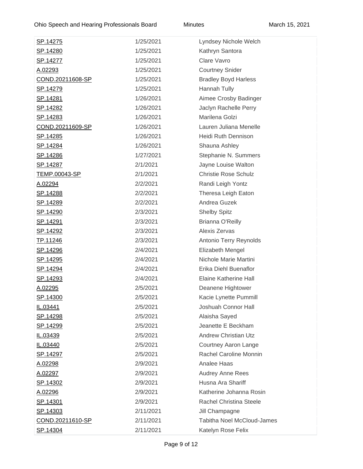| <u>SP.14275</u>         | 1/25/2021 | Lyndsey Nichole Welch             |
|-------------------------|-----------|-----------------------------------|
| <u>SP.14280</u>         | 1/25/2021 | Kathryn Santora                   |
| <u>SP.14277</u>         | 1/25/2021 | Clare Vavro                       |
| A.02293                 | 1/25/2021 | <b>Courtney Snider</b>            |
| <u>COND.20211608-SP</u> | 1/25/2021 | <b>Bradley Boyd Harless</b>       |
| <u>SP.14279</u>         | 1/25/2021 | Hannah Tully                      |
| <u>SP.14281</u>         | 1/26/2021 | Aimee Crosby Badinger             |
| SP.14282                | 1/26/2021 | Jaclyn Rachelle Perry             |
| <u>SP.14283</u>         | 1/26/2021 | Marilena Golzi                    |
| COND.20211609-SP        | 1/26/2021 | Lauren Juliana Menelle            |
| <u>SP.14285</u>         | 1/26/2021 | Heidi Ruth Dennison               |
| <u>SP.14284</u>         | 1/26/2021 | Shauna Ashley                     |
| <u>SP.14286</u>         | 1/27/2021 | Stephanie N. Summers              |
| <u>SP.14287</u>         | 2/1/2021  | Jayne Louise Walton               |
| <u>TEMP.00043-SP</u>    | 2/1/2021  | <b>Christie Rose Schulz</b>       |
| A.02294                 | 2/2/2021  | Randi Leigh Yontz                 |
| SP.14288                | 2/2/2021  | Theresa Leigh Eaton               |
| <u>SP.14289</u>         | 2/2/2021  | Andrea Guzek                      |
| <u>SP.14290</u>         | 2/3/2021  | <b>Shelby Spitz</b>               |
| <u>SP.14291</u>         | 2/3/2021  | <b>Brianna O'Reilly</b>           |
| <u>SP.14292</u>         | 2/3/2021  | Alexis Zervas                     |
| <u>TP.11246</u>         | 2/3/2021  | Antonio Terry Reynolds            |
| <u>SP.14296</u>         | 2/4/2021  | Elizabeth Mengel                  |
| <u>SP.14295</u>         | 2/4/2021  | Nichole Marie Martini             |
| <u>SP.14294</u>         | 2/4/2021  | Erika Diehl Buenaflor             |
| <u>SP.14293</u>         | 2/4/2021  | <b>Elaine Katherine Hall</b>      |
| <u>A.02295</u>          | 2/5/2021  | Deanene Hightower                 |
| SP.14300                | 2/5/2021  | Kacie Lynette Pummill             |
| IL.03441                | 2/5/2021  | Joshuah Connor Hall               |
| <u>SP.14298</u>         | 2/5/2021  | Alaisha Sayed                     |
| <u>SP.14299</u>         | 2/5/2021  | Jeanette E Beckham                |
| IL.03439                | 2/5/2021  | <b>Andrew Christian Utz</b>       |
| IL.03440                | 2/5/2021  | <b>Courtney Aaron Lange</b>       |
| <u>SP.14297</u>         | 2/5/2021  | Rachel Caroline Monnin            |
| <u>A.02298</u>          | 2/9/2021  | Analee Haas                       |
| <u>A.02297</u>          | 2/9/2021  | <b>Audrey Anne Rees</b>           |
| <u>SP.14302</u>         | 2/9/2021  | Husna Ara Shariff                 |
| <u>A.02296</u>          | 2/9/2021  | Katherine Johanna Rosin           |
| <u>SP.14301</u>         | 2/9/2021  | <b>Rachel Christina Steele</b>    |
| <u>SP.14303</u>         | 2/11/2021 | Jill Champagne                    |
| <u>COND.20211610-SP</u> | 2/11/2021 | <b>Tabitha Noel McCloud-James</b> |
| SP.14304                | 2/11/2021 | Katelyn Rose Felix                |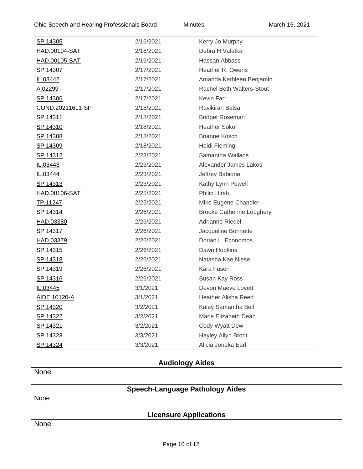| <u>SP.14305</u>      | 2/16/2021 | Kerry Jo Murphy                  |
|----------------------|-----------|----------------------------------|
| HAD.00104-SAT        | 2/16/2021 | Debra H Valatka                  |
| <u>HAD.00105-SAT</u> | 2/16/2021 | Hassan Abbass                    |
| SP.14307             | 2/17/2021 | Heather R. Owens                 |
| IL.03442             | 2/17/2021 | Amanda Kathleen Benjamin         |
| A.02299              | 2/17/2021 | Rachel Beth Walters-Stout        |
| SP.14306             | 2/17/2021 | <b>Kevin Farr</b>                |
| COND.20211611-SP     | 2/18/2021 | Ravikiran Balsa                  |
| <u>SP.14311</u>      | 2/18/2021 | <b>Bridget Roseman</b>           |
| <u>SP.14310</u>      | 2/18/2021 | <b>Heather Sokol</b>             |
| SP.14308             | 2/18/2021 | <b>Brianne Kosch</b>             |
| SP.14309             | 2/18/2021 | <b>Heidi Fleming</b>             |
| <u>SP.14312</u>      | 2/23/2021 | Samantha Wallace                 |
| IL.03443             | 2/23/2021 | Alexander James Lakos            |
| IL.03444             | 2/23/2021 | Jeffrey Babione                  |
| <u>SP.14313</u>      | 2/23/2021 | Kathy Lynn Powell                |
| HAD.00106-SAT        | 2/25/2021 | Philip Hirsh                     |
| TP.11247             | 2/25/2021 | Mike Eugene Chandler             |
| SP.14314             | 2/26/2021 | <b>Brooke Catherine Loughery</b> |
| HAD.03380            | 2/26/2021 | Adrianne Riedel                  |
| <u>SP.14317</u>      | 2/26/2021 | Jacqueline Bonnette              |
| HAD.03379            | 2/26/2021 | Dorian L. Economos               |
| <u>SP.14315</u>      | 2/26/2021 | Dawn Hopkins                     |
| <u>SP.14318</u>      | 2/26/2021 | Natasha Kae Niese                |
| <u>SP.14319</u>      | 2/26/2021 | Kara Fuson                       |
| SP.14316             | 2/26/2021 | Susan Kay Ross                   |
| IL.03445             | 3/1/2021  | Devon Maeve Lovett               |
| AIDE.10120-A         | 3/1/2021  | <b>Heather Alisha Reed</b>       |
| <u>SP.14320</u>      | 3/2/2021  | Kaley Samantha Bell              |
| SP.14322             | 3/2/2021  | Marie Elizabeth Dean             |
| SP.14321             | 3/2/2021  | Cody Wyatt Dew                   |
| SP.14323             | 3/3/2021  | Hayley Allyn Brodt               |
| SP.14324             | 3/3/2021  | Alicia Joneka Earl               |

## **Audiology Aides**

**None** 

# **Speech-Language Pathology Aides**

None

## **Licensure Applications**

None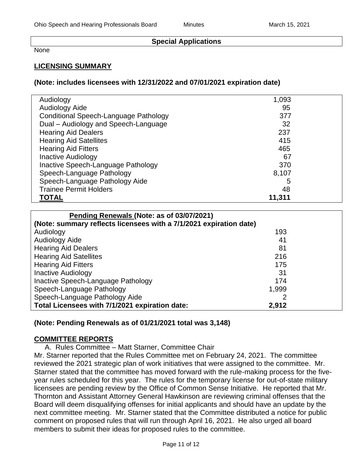### **Special Applications**

None

### **LICENSING SUMMARY**

#### **(Note: includes licensees with 12/31/2022 and 07/01/2021 expiration date)**

| Audiology                             | 1,093  |
|---------------------------------------|--------|
| Audiology Aide                        | 95     |
| Conditional Speech-Language Pathology | 377    |
| Dual - Audiology and Speech-Language  | 32     |
| <b>Hearing Aid Dealers</b>            | 237    |
| <b>Hearing Aid Satellites</b>         | 415    |
| <b>Hearing Aid Fitters</b>            | 465    |
| <b>Inactive Audiology</b>             | 67     |
| Inactive Speech-Language Pathology    | 370    |
| Speech-Language Pathology             | 8,107  |
| Speech-Language Pathology Aide        | 5      |
| <b>Trainee Permit Holders</b>         | 48     |
| <b>TOTAL</b>                          | 11,311 |

| Pending Renewals (Note: as of 03/07/2021)                          |       |  |
|--------------------------------------------------------------------|-------|--|
| (Note: summary reflects licensees with a 7/1/2021 expiration date) |       |  |
| Audiology                                                          | 193   |  |
| <b>Audiology Aide</b>                                              | 41    |  |
| <b>Hearing Aid Dealers</b>                                         | 81    |  |
| <b>Hearing Aid Satellites</b>                                      | 216   |  |
| <b>Hearing Aid Fitters</b>                                         | 175   |  |
| <b>Inactive Audiology</b>                                          | 31    |  |
| Inactive Speech-Language Pathology                                 | 174   |  |
| Speech-Language Pathology                                          | 1,999 |  |
| Speech-Language Pathology Aide                                     |       |  |
| Total Licensees with 7/1/2021 expiration date:                     | 2,912 |  |

#### **(Note: Pending Renewals as of 01/21/2021 total was 3,148)**

#### **COMMITTEE REPORTS**

A. Rules Committee – Matt Starner, Committee Chair

Mr. Starner reported that the Rules Committee met on February 24, 2021. The committee reviewed the 2021 strategic plan of work initiatives that were assigned to the committee. Mr. Starner stated that the committee has moved forward with the rule-making process for the fiveyear rules scheduled for this year. The rules for the temporary license for out-of-state military licensees are pending review by the Office of Common Sense Initiative. He reported that Mr. Thornton and Assistant Attorney General Hawkinson are reviewing criminal offenses that the Board will deem disqualifying offenses for initial applicants and should have an update by the next committee meeting. Mr. Starner stated that the Committee distributed a notice for public comment on proposed rules that will run through April 16, 2021. He also urged all board members to submit their ideas for proposed rules to the committee.